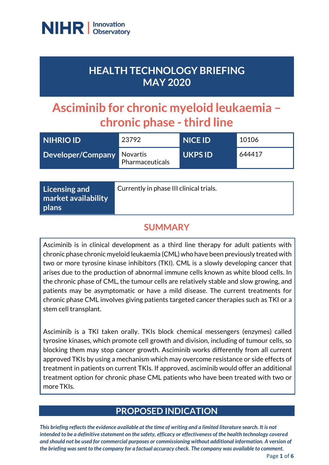

# **HEALTH TECHNOLOGY BRIEFING MAY 2020**

# **Asciminib for chronic myeloid leukaemia – chronic phase -third line**

| <b>INIHRIO ID'</b>                | 23792           | NICE ID | 10106  |
|-----------------------------------|-----------------|---------|--------|
| <b>Developer/Company Novartis</b> | Pharmaceuticals | UKPS ID | 644417 |

| Licensing and                       | Currently in phase III clinical trials. |
|-------------------------------------|-----------------------------------------|
| market availability<br><b>plans</b> |                                         |

### **SUMMARY**

Asciminib is in clinical development as a third line therapy for adult patients with chronic phase chronic myeloid leukaemia (CML) who have been previously treated with two or more tyrosine kinase inhibitors (TKI). CML is a slowly developing cancer that arises due to the production of abnormal immune cells known as white blood cells. In the chronic phase of CML, the tumour cells are relatively stable and slow growing, and patients may be asymptomatic or have a mild disease. The current treatments for chronic phase CML involves giving patients targeted cancer therapies such as TKI or a stem cell transplant.

Asciminib is a TKI taken orally. TKIs block chemical messengers (enzymes) called tyrosine kinases, which promote cell growth and division, including of tumour cells, so blocking them may stop cancer growth. Asciminib works differently from all current approved TKIs by using a mechanism which may overcome resistance or side effects of treatment in patients on current TKIs. If approved, asciminib would offer an additional treatment option for chronic phase CML patients who have been treated with two or more TKIs.

# **PROPOSED INDICATION**

*This briefing reflects the evidence available at the time of writing and a limited literature search. It is not intended to be a definitive statement on the safety, efficacy or effectiveness of the health technology covered and should not be used for commercial purposes or commissioning without additional information. A version of the briefing was sent to the company for a factual accuracy check. The company was available to comment.*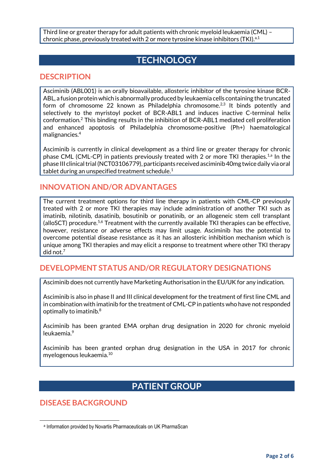Third line or greater therapy for adult patients with chronic myeloid leukaemia (CML) – chronic phase, previously treated with 2 or more tyrosine kinase inhibitors (TKI). $a,1$ 

## **TECHNOLOGY**

#### **DESCRIPTION**

Asciminib (ABL001) is an orally bioavailable, allosteric inhibitor of the tyrosine kinase BCR-ABL, a fusion protein which is abnormally produced by leukaemia cells containing the truncated form of chromosome 22 known as Philadelphia chromosome.<sup>2,3</sup> It binds potently and selectively to the myristoyl pocket of BCR-ABL1 and induces inactive C-terminal helix conformation.<sup>2</sup> This binding results in the inhibition of BCR-ABL1 mediated cell proliferation and enhanced apoptosis of Philadelphia chromosome-positive (Ph+) haematological malignancies.<sup>4</sup>

Asciminib is currently in clinical development as a third line or greater therapy for chronic phase CML (CML-CP) in patients previously treated with 2 or more TKI therapies.<sup>1,a</sup> In the phase III clinical trial (NCT03106779), participants received asciminib 40mg twice daily via oral tablet during an unspecified treatment schedule. $1$ 

#### **INNOVATION AND/OR ADVANTAGES**

The current treatment options for third line therapy in patients with CML-CP previously treated with 2 or more TKI therapies may include administration of another TKI such as imatinib, nilotinib, dasatinib, bosutinib or ponatinib, or an allogeneic stem cell transplant (alloSCT) procedure.<sup>5,6</sup> Treatment with the currently available TKI therapies can be effective, however, resistance or adverse effects may limit usage. Asciminib has the potential to overcome potential disease resistance as it has an allosteric inhibition mechanism which is unique among TKI therapies and may elicit a response to treatment where other TKI therapy did not.<sup>7</sup>

#### **DEVELOPMENT STATUS AND/OR REGULATORY DESIGNATIONS**

Asciminib does not currently have Marketing Authorisation in the EU/UK for any indication.

Asciminib is also in phase II and III clinical development for the treatment of first line CML and in combination with imatinib for the treatment of CML-CP in patients who have not responded optimally to imatinib.<sup>8</sup>

Asciminib has been granted EMA orphan drug designation in 2020 for chronic myeloid leukaemia.<sup>9</sup>

Asciminib has been granted orphan drug designation in the USA in 2017 for chronic myelogenous leukaemia.<sup>10</sup>

# **PATIENT GROUP**

**DISEASE BACKGROUND**

**.** 

a Information provided by Novartis Pharmaceuticals on UK PharmaScan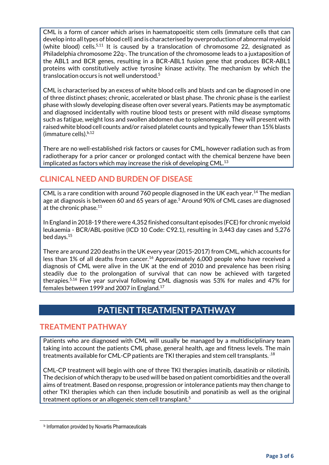CML is a form of cancer which arises in haematopoeitic stem cells (immature cells that can develop into all types of blood cell) and is characterised by overproduction of abnormal myeloid (white blood) cells.<sup>5,11</sup> It is caused by a translocation of chromosome 22, designated as Philadelphia chromosome 22q-. The truncation of the chromosome leads to a juxtaposition of the ABL1 and BCR genes, resulting in a BCR-ABL1 fusion gene that produces BCR-ABL1 proteins with constitutively active tyrosine kinase activity. The mechanism by which the translocation occurs is not well understood.<sup>5</sup>

CML is characterised by an excess of white blood cells and blasts and can be diagnosed in one of three distinct phases; chronic, accelerated or blast phase. The chronic phase is the earliest phase with slowly developing disease often over several years. Patients may be asymptomatic and diagnosed incidentally with routine blood tests or present with mild disease symptoms such as fatigue, weight loss and swollen abdomen due to splenomegaly. They will present with raised white blood cell counts and/or raised platelet counts and typically fewer than 15% blasts (immature cells). b,12

There are no well-established risk factors or causes for CML, however radiation such as from radiotherapy for a prior cancer or prolonged contact with the chemical benzene have been implicated as factors which may increase the risk of developing CML.<sup>13</sup>

#### **CLINICAL NEED AND BURDEN OF DISEASE**

CML is a rare condition with around 760 people diagnosed in the UK each year.<sup>14</sup> The median age at diagnosis is between 60 and 65 years of age.<sup>5</sup> Around 90% of CML cases are diagnosed at the chronic phase.<sup>11</sup>

In England in 2018-19 there were 4,352 finished consultant episodes (FCE) for chronic myeloid leukaemia - BCR/ABL-positive (ICD 10 Code: C92.1), resulting in 3,443 day cases and 5,276 bed days.<sup>15</sup>

There are around 220 deaths in the UK every year (2015-2017) from CML, which accounts for less than 1% of all deaths from cancer.<sup>16</sup> Approximately 6,000 people who have received a diagnosis of CML were alive in the UK at the end of 2010 and prevalence has been rising steadily due to the prolongation of survival that can now be achieved with targeted therapies.5,16 Five year survival following CML diagnosis was 53% for males and 47% for females between 1999 and 2007 in England.<sup>17</sup>

# **PATIENT TREATMENT PATHWAY**

#### **TREATMENT PATHWAY**

Patients who are diagnosed with CML will usually be managed by a multidisciplinary team taking into account the patients CML phase, general health, age and fitness levels. The main treatments available for CML-CP patients are TKI therapies and stem cell transplants.  $^\mathit{18}$ 

CML-CP treatment will begin with one of three TKI therapies imatinib, dasatinib or nilotinib. The decision of which therapy to be used will be based on patient comorbidities and the overall aims of treatment. Based on response, progression or intolerance patients may then change to other TKI therapies which can then include bosutinib and ponatinib as well as the original treatment options or an allogeneic stem cell transplant.<sup>5</sup>

**.** 

**b** Information provided by Novartis Pharmaceuticals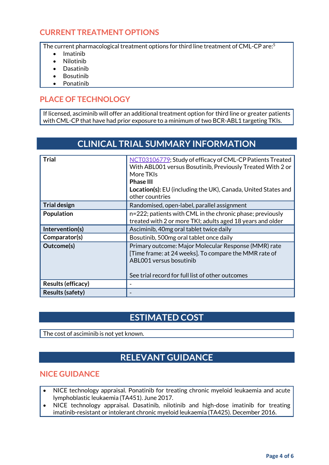#### **CURRENT TREATMENT OPTIONS**

The current pharmacological treatment options for third line treatment of CML-CP are:<sup>5</sup>

- Imatinib
- Nilotinib
- Dasatinib
- Bosutinib
- Ponatinib

### **PLACE OF TECHNOLOGY**

If licensed, asciminib will offer an additional treatment option for third line or greater patients with CML-CP that have had prior exposure to a minimum of two BCR-ABL1 targeting TKIs.

# **CLINICAL TRIAL SUMMARY INFORMATION**

| <b>Trial</b>            | NCT03106779; Study of efficacy of CML-CP Patients Treated<br>With ABL001 versus Bosutinib, Previously Treated With 2 or<br>More TKIs<br><b>Phase III</b><br><b>Location(s):</b> EU (including the UK), Canada, United States and<br>other countries |
|-------------------------|-----------------------------------------------------------------------------------------------------------------------------------------------------------------------------------------------------------------------------------------------------|
| <b>Trial design</b>     | Randomised, open-label, parallel assignment                                                                                                                                                                                                         |
| Population              | n=222; patients with CML in the chronic phase; previously<br>treated with 2 or more TKI; adults aged 18 years and older                                                                                                                             |
| Intervention(s)         | Asciminib, 40mg oral tablet twice daily                                                                                                                                                                                                             |
| Comparator(s)           | Bosutinib, 500mg oral tablet once daily                                                                                                                                                                                                             |
| Outcome(s)              | Primary outcome: Major Molecular Response (MMR) rate<br>[Time frame: at 24 weeks]. To compare the MMR rate of<br>ABL001 versus bosutinib<br>See trial record for full list of other outcomes                                                        |
| Results (efficacy)      |                                                                                                                                                                                                                                                     |
| <b>Results (safety)</b> |                                                                                                                                                                                                                                                     |

### **ESTIMATED COST**

The cost of asciminib is not yet known.

# **RELEVANT GUIDANCE**

#### **NICE GUIDANCE**

- NICE technology appraisal. Ponatinib for treating chronic myeloid leukaemia and acute lymphoblastic leukaemia (TA451). June 2017.
- NICE technology appraisal. Dasatinib, nilotinib and high-dose imatinib for treating imatinib-resistant or intolerant chronic myeloid leukaemia (TA425). December 2016.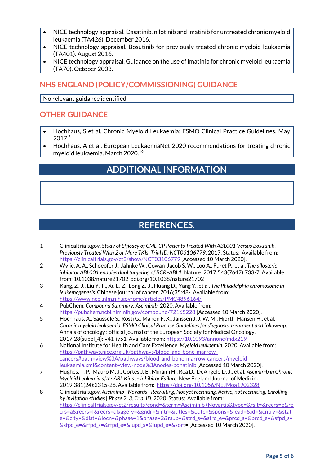- NICE technology appraisal. Dasatinib, nilotinib and imatinib for untreated chronic myeloid leukaemia (TA426). December 2016.
- NICE technology appraisal. Bosutinib for previously treated chronic myeloid leukaemia (TA401). August 2016.
- NICE technology appraisal. Guidance on the use of imatinib for chronic myeloid leukaemia (TA70). October 2003.

#### **NHS ENGLAND (POLICY/COMMISSIONING) GUIDANCE**

No relevant guidance identified.

#### **OTHER GUIDANCE**

- Hochhaus, S et al. Chronic Myeloid Leukaemia: ESMO Clinical Practice Guidelines. May 2017.<sup>5</sup>
- Hochhaus, A et al. European LeukaemiaNet 2020 recommendations for treating chronic myeloid leukaemia. March 2020.<sup>19</sup>

# **ADDITIONAL INFORMATION**

# **REFERENCES.**

- 1 Clinicaltrials.gov. *Study of Efficacy of CML-CP Patients Treated With ABL001 Versus Bosutinib, Previously Treated With 2 or More TKIs*. *Trial ID: NCT03106779*. 2017. Status: Available from: <https://clinicaltrials.gov/ct2/show/NCT03106779> [Accessed 10 March 2020].
- 2 Wylie, A. A., Schoepfer J., Jahnke W., Cowan-Jacob S. W., Loo A., Furet P., et al. *The allosteric inhibitor ABL001 enables dual targeting of BCR–ABL1*. Nature. 2017;543(7647):733-7. Available from: 10.1038/nature21702 doi.org/10.1038/nature21702
- 3 Kang, Z.-J., Liu Y.-F., Xu L.-Z., Long Z.-J., Huang D., Yang Y., et al. *The Philadelphia chromosome in leukemogenesis*. Chinese journal of cancer. 2016;35:48-. Available from: <https://www.ncbi.nlm.nih.gov/pmc/articles/PMC4896164/>
- 4 PubChem. *Compound Summary: Asciminib.* 2020. Available from: <https://pubchem.ncbi.nlm.nih.gov/compound/72165228> [Accessed 10 March 2020].
- 5 Hochhaus, A., Saussele S., Rosti G., Mahon F. X., Janssen J. J. W. M., Hjorth-Hansen H., et al. *Chronic myeloid leukaemia: ESMO Clinical Practice Guidelines for diagnosis, treatment and follow-up*. Annals of oncology : official journal of the European Society for Medical Oncology. 2017;28(suppl\_4):iv41-iv51. Available from[: https://10.1093/annonc/mdx219](https://10.0.4.69/annonc/mdx219)
- 6 National Institute for Health and Care Excellence. *Myeloid leukaemia.* 2020. Available from: [https://pathways.nice.org.uk/pathways/blood-and-bone-marrow](https://pathways.nice.org.uk/pathways/blood-and-bone-marrow-cancers#path=view%3A/pathways/blood-and-bone-marrow-cancers/myeloid-leukaemia.xml&content=view-node%3Anodes-ponatinib)[cancers#path=view%3A/pathways/blood-and-bone-marrow-cancers/myeloid](https://pathways.nice.org.uk/pathways/blood-and-bone-marrow-cancers#path=view%3A/pathways/blood-and-bone-marrow-cancers/myeloid-leukaemia.xml&content=view-node%3Anodes-ponatinib)[leukaemia.xml&content=view-node%3Anodes-ponatinib](https://pathways.nice.org.uk/pathways/blood-and-bone-marrow-cancers#path=view%3A/pathways/blood-and-bone-marrow-cancers/myeloid-leukaemia.xml&content=view-node%3Anodes-ponatinib) [Accessed 10 March 2020].
- 7 Hughes, T. P., Mauro M. J., Cortes J. E., Minami H., Rea D., DeAngelo D. J., et al. *Asciminib in Chronic Myeloid Leukemia after ABL Kinase Inhibitor Failure*. New England Journal of Medicine. 2019;381(24):2315-26. Available from:<https://doi.org/10.1056/NEJMoa1902328>
- 8 Clinicaltrials.gov. *Asciminib | Novartis | Recruiting, Not yet recruiting, Active, not recruiting, Enrolling by invitation studies | Phase 2, 3*. *Trial ID*. 2020. Status: Available from: [https://clinicaltrials.gov/ct2/results?cond=&term=Asciminib+Novartis&type=&rslt=&recrs=b&re](https://clinicaltrials.gov/ct2/results?cond=&term=Asciminib+Novartis&type=&rslt=&recrs=b&recrs=a&recrs=f&recrs=d&age_v=&gndr=&intr=&titles=&outc=&spons=&lead=&id=&cntry=&state=&city=&dist=&locn=&phase=1&phase=2&rsub=&strd_s=&strd_e=&prcd_s=&prcd_e=&sfpd_s=&sfpd_e=&rfpd_s=&rfpd_e=&lupd_s=&lupd_e=&sort) [crs=a&recrs=f&recrs=d&age\\_v=&gndr=&intr=&titles=&outc=&spons=&lead=&id=&cntry=&stat](https://clinicaltrials.gov/ct2/results?cond=&term=Asciminib+Novartis&type=&rslt=&recrs=b&recrs=a&recrs=f&recrs=d&age_v=&gndr=&intr=&titles=&outc=&spons=&lead=&id=&cntry=&state=&city=&dist=&locn=&phase=1&phase=2&rsub=&strd_s=&strd_e=&prcd_s=&prcd_e=&sfpd_s=&sfpd_e=&rfpd_s=&rfpd_e=&lupd_s=&lupd_e=&sort) [e=&city=&dist=&locn=&phase=1&phase=2&rsub=&strd\\_s=&strd\\_e=&prcd\\_s=&prcd\\_e=&sfpd\\_s=](https://clinicaltrials.gov/ct2/results?cond=&term=Asciminib+Novartis&type=&rslt=&recrs=b&recrs=a&recrs=f&recrs=d&age_v=&gndr=&intr=&titles=&outc=&spons=&lead=&id=&cntry=&state=&city=&dist=&locn=&phase=1&phase=2&rsub=&strd_s=&strd_e=&prcd_s=&prcd_e=&sfpd_s=&sfpd_e=&rfpd_s=&rfpd_e=&lupd_s=&lupd_e=&sort) [&sfpd\\_e=&rfpd\\_s=&rfpd\\_e=&lupd\\_s=&lupd\\_e=&sort=](https://clinicaltrials.gov/ct2/results?cond=&term=Asciminib+Novartis&type=&rslt=&recrs=b&recrs=a&recrs=f&recrs=d&age_v=&gndr=&intr=&titles=&outc=&spons=&lead=&id=&cntry=&state=&city=&dist=&locn=&phase=1&phase=2&rsub=&strd_s=&strd_e=&prcd_s=&prcd_e=&sfpd_s=&sfpd_e=&rfpd_s=&rfpd_e=&lupd_s=&lupd_e=&sort) [Accessed 10 March 2020].